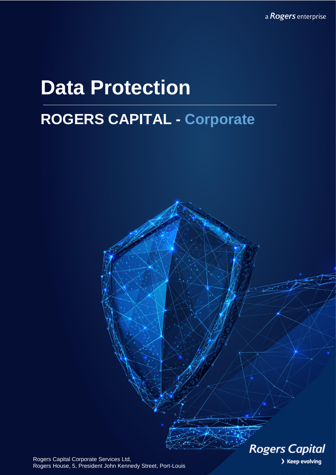a Rogers enterprise

# **Data Protection**

# **ROGERS CAPITAL - Corporate**

**Rogers Capital** > Keep evolving

Rogers Capital Corporate Services Ltd, Rogers House, 5, President John Kennedy Street, Port-Louis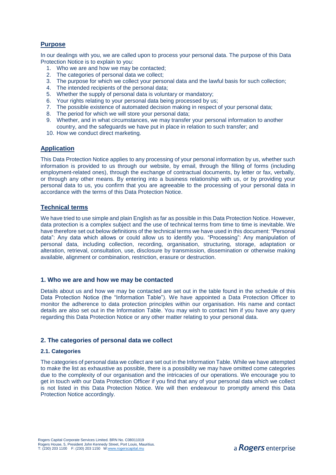# **Purpose**

In our dealings with you, we are called upon to process your personal data. The purpose of this Data Protection Notice is to explain to you:

- 1. Who we are and how we may be contacted;
- 2. The categories of personal data we collect;
- 3. The purpose for which we collect your personal data and the lawful basis for such collection;
- 4. The intended recipients of the personal data;
- 5. Whether the supply of personal data is voluntary or mandatory;
- 6. Your rights relating to your personal data being processed by us;
- 7. The possible existence of automated decision making in respect of your personal data;
- 8. The period for which we will store your personal data;
- 9. Whether, and in what circumstances, we may transfer your personal information to another country, and the safeguards we have put in place in relation to such transfer; and
- 10. How we conduct direct marketing.

#### **Application**

This Data Protection Notice applies to any processing of your personal information by us, whether such information is provided to us through our website, by email, through the filling of forms (including employment-related ones), through the exchange of contractual documents, by letter or fax, verbally, or through any other means. By entering into a business relationship with us, or by providing your personal data to us, you confirm that you are agreeable to the processing of your personal data in accordance with the terms of this Data Protection Notice.

# **Technical terms**

We have tried to use simple and plain English as far as possible in this Data Protection Notice. However, data protection is a complex subject and the use of technical terms from time to time is inevitable. We have therefore set out below definitions of the technical terms we have used in this document: "Personal data": Any data which allows or could allow us to identify you. "Processing": Any manipulation of personal data, including collection, recording, organisation, structuring, storage, adaptation or alteration, retrieval, consultation, use, disclosure by transmission, dissemination or otherwise making available, alignment or combination, restriction, erasure or destruction.

#### **1. Who we are and how we may be contacted**

Details about us and how we may be contacted are set out in the table found in the schedule of this Data Protection Notice (the "Information Table"). We have appointed a Data Protection Officer to monitor the adherence to data protection principles within our organisation. His name and contact details are also set out in the Information Table. You may wish to contact him if you have any query regarding this Data Protection Notice or any other matter relating to your personal data.

#### **2. The categories of personal data we collect**

#### **2.1. Categories**

The categories of personal data we collect are set out in the Information Table. While we have attempted to make the list as exhaustive as possible, there is a possibility we may have omitted come categories due to the complexity of our organisation and the intricacies of our operations. We encourage you to get in touch with our Data Protection Officer if you find that any of your personal data which we collect is not listed in this Data Protection Notice. We will then endeavour to promptly amend this Data Protection Notice accordingly.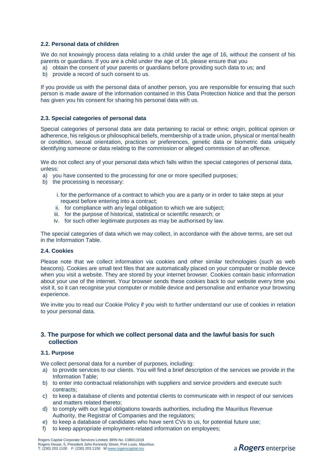#### **2.2. Personal data of children**

We do not knowingly process data relating to a child under the age of 16, without the consent of his parents or guardians. If you are a child under the age of 16, please ensure that you

- a) obtain the consent of your parents or guardians before providing such data to us; and
- b) provide a record of such consent to us.

If you provide us with the personal data of another person, you are responsible for ensuring that such person is made aware of the information contained in this Data Protection Notice and that the person has given you his consent for sharing his personal data with us.

#### **2.3. Special categories of personal data**

Special categories of personal data are data pertaining to racial or ethnic origin, political opinion or adherence, his religious or philosophical beliefs, membership of a trade union, physical or mental health or condition, sexual orientation, practices or preferences, genetic data or biometric data uniquely identifying someone or data relating to the commission or alleged commission of an offence.

We do not collect any of your personal data which falls within the special categories of personal data, unless:

- a) you have consented to the processing for one or more specified purposes;
- b) the processing is necessary:

i. for the performance of a contract to which you are a party or in order to take steps at your request before entering into a contract;

- ii. for compliance with any legal obligation to which we are subject;
- iii. for the purpose of historical, statistical or scientific research; or
- iv. for such other legitimate purposes as may be authorised by law.

The special categories of data which we may collect, in accordance with the above terms, are set out in the Information Table.

### **2.4. Cookies**

Please note that we collect information via cookies and other similar technologies (such as web beacons). Cookies are small text files that are automatically placed on your computer or mobile device when you visit a website. They are stored by your internet browser. Cookies contain basic information about your use of the internet. Your browser sends these cookies back to our website every time you visit it, so it can recognise your computer or mobile device and personalise and enhance your browsing experience.

We invite you to read our Cookie Policy if you wish to further understand our use of cookies in relation to your personal data.

# **3. The purpose for which we collect personal data and the lawful basis for such collection**

#### **3.1. Purpose**

We collect personal data for a number of purposes, including:

- a) to provide services to our clients. You will find a brief description of the services we provide in the Information Table;
- b) to enter into contractual relationships with suppliers and service providers and execute such contracts;
- c) to keep a database of clients and potential clients to communicate with in respect of our services and matters related thereto;
- d) to comply with our legal obligations towards authorities, including the Mauritius Revenue Authority, the Registrar of Companies and the regulators;
- e) to keep a database of candidates who have sent CVs to us, for potential future use;
- f) to keep appropriate employment-related information on employees;

Rogers Capital Corporate Services Limited. BRN No. C08011019 Rogers House, 5, President John Kennedy Street, Port Louis, Mauritius.<br>T: (230) 203 1100 F: (230) 203 1150 W:<u>www.rogerscapital.mu</u>

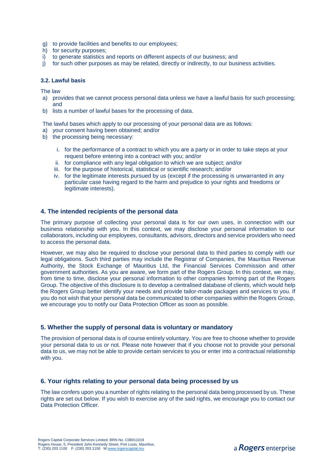- g) to provide facilities and benefits to our employees;
- h) for security purposes;
- i) to generate statistics and reports on different aspects of our business; and
- j) for such other purposes as may be related, directly or indirectly, to our business activities.

#### **3.2. Lawful basis**

The law

- a) provides that we cannot process personal data unless we have a lawful basis for such processing; and
- b) lists a number of lawful bases for the processing of data.

The lawful bases which apply to our processing of your personal data are as follows:

- a) your consent having been obtained; and/or
- b) the processing being necessary:
	- i. for the performance of a contract to which you are a party or in order to take steps at your request before entering into a contract with you; and/or
	- ii. for compliance with any legal obligation to which we are subject; and/or
	- iii. for the purpose of historical, statistical or scientific research; and/or
	- iv. for the legitimate interests pursued by us (except if the processing is unwarranted in any particular case having regard to the harm and prejudice to your rights and freedoms or legitimate interests).

# **4. The intended recipients of the personal data**

The primary purpose of collecting your personal data is for our own uses, in connection with our business relationship with you. In this context, we may disclose your personal information to our collaborators, including our employees, consultants, advisors, directors and service providers who need to access the personal data.

However, we may also be required to disclose your personal data to third parties to comply with our legal obligations. Such third parties may include the Registrar of Companies, the Mauritius Revenue Authority, the Stock Exchange of Mauritius Ltd, the Financial Services Commission and other government authorities. As you are aware, we form part of the Rogers Group. In this context, we may, from time to time, disclose your personal information to other companies forming part of the Rogers Group. The objective of this disclosure is to develop a centralised database of clients, which would help the Rogers Group better identify your needs and provide tailor-made packages and services to you. If you do not wish that your personal data be communicated to other companies within the Rogers Group, we encourage you to notify our Data Protection Officer as soon as possible.

#### **5. Whether the supply of personal data is voluntary or mandatory**

The provision of personal data is of course entirely voluntary. You are free to choose whether to provide your personal data to us or not. Please note however that if you choose not to provide your personal data to us, we may not be able to provide certain services to you or enter into a contractual relationship with you.

# **6. Your rights relating to your personal data being processed by us**

The law confers upon you a number of rights relating to the personal data being processed by us. These rights are set out below. If you wish to exercise any of the said rights, we encourage you to contact our Data Protection Officer.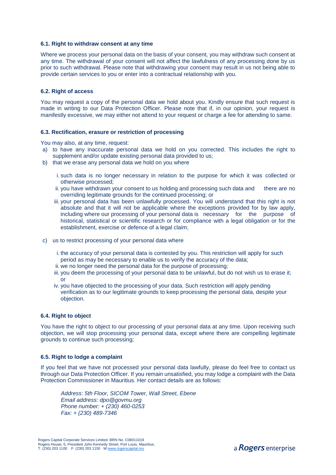#### **6.1. Right to withdraw consent at any time**

Where we process your personal data on the basis of your consent, you may withdraw such consent at any time. The withdrawal of your consent will not affect the lawfulness of any processing done by us prior to such withdrawal. Please note that withdrawing your consent may result in us not being able to provide certain services to you or enter into a contractual relationship with you.

#### **6.2. Right of access**

You may request a copy of the personal data we hold about you. Kindly ensure that such request is made in writing to our Data Protection Officer. Please note that if, in our opinion, your request is manifestly excessive, we may either not attend to your request or charge a fee for attending to same.

#### **6.3. Rectification, erasure or restriction of processing**

You may also, at any time, request:

- a) to have any inaccurate personal data we hold on you corrected. This includes the right to supplement and/or update existing personal data provided to us;
- b) that we erase any personal data we hold on you where
	- i. such data is no longer necessary in relation to the purpose for which it was collected or otherwise processed;
	- ii. you have withdrawn your consent to us holding and processing such data and there are no overriding legitimate grounds for the continued processing; or
	- iii. your personal data has been unlawfully processed. You will understand that this right is not absolute and that it will not be applicable where the exceptions provided for by law apply, including where our processing of your personal data is necessary for the purpose of historical, statistical or scientific research or for compliance with a legal obligation or for the establishment, exercise or defence of a legal claim;
- c) us to restrict processing of your personal data where
	- i. the accuracy of your personal data is contested by you. This restriction will apply for such period as may be necessary to enable us to verify the accuracy of the data;
	- ii. we no longer need the personal data for the purpose of processing;
	- iii. you deem the processing of your personal data to be unlawful, but do not wish us to erase it; or
	- iv. you have objected to the processing of your data. Such restriction will apply pending verification as to our legitimate grounds to keep processing the personal data, despite your objection.

#### **6.4. Right to object**

You have the right to object to our processing of your personal data at any time. Upon receiving such objection, we will stop processing your personal data, except where there are compelling legitimate grounds to continue such processing;

#### **6.5. Right to lodge a complaint**

If you feel that we have not processed your personal data lawfully, please do feel free to contact us through our Data Protection Officer. If you remain unsatisfied, you may lodge a complaint with the Data Protection Commissioner in Mauritius. Her contact details are as follows:

*Address: 5th Floor, SICOM Tower, Wall Street, Ebene Email address: dpo@govmu.org Phone number: + (230) 460-0253 Fax: + (230) 489-7346*

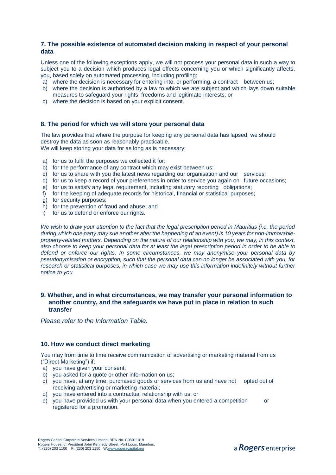# **7. The possible existence of automated decision making in respect of your personal data**

Unless one of the following exceptions apply, we will not process your personal data in such a way to subject you to a decision which produces legal effects concerning you or which significantly affects, you, based solely on automated processing, including profiling:

- a) where the decision is necessary for entering into, or performing, a contract between us;
- b) where the decision is authorised by a law to which we are subject and which lays down suitable measures to safeguard your rights, freedoms and legitimate interests; or
- c) where the decision is based on your explicit consent.

# **8. The period for which we will store your personal data**

The law provides that where the purpose for keeping any personal data has lapsed, we should destroy the data as soon as reasonably practicable. We will keep storing your data for as long as is necessary:

- a) for us to fulfil the purposes we collected it for;
- b) for the performance of any contract which may exist between us;
- c) for us to share with you the latest news regarding our organisation and our services;
- d) for us to keep a record of your preferences in order to service you again on future occasions;
- e) for us to satisfy any legal requirement, including statutory reporting obligations;
- f) for the keeping of adequate records for historical, financial or statistical purposes;
- g) for security purposes;
- h) for the prevention of fraud and abuse; and
- i) for us to defend or enforce our rights.

*We wish to draw your attention to the fact that the legal prescription period in Mauritius (i.e. the period during which one party may sue another after the happening of an event) is 10 years for non-immovableproperty-related matters. Depending on the nature of our relationship with you, we may, in this context, also choose to keep your personal data for at least the legal prescription period in order to be able to defend or enforce our rights. In some circumstances, we may anonymise your personal data by pseudonymisation or encryption, such that the personal data can no longer be associated with you, for research or statistical purposes, in which case we may use this information indefinitely without further notice to you.*

# **9. Whether, and in what circumstances, we may transfer your personal information to another country, and the safeguards we have put in place in relation to such transfer**

*Please refer to the Information Table.*

# **10. How we conduct direct marketing**

You may from time to time receive communication of advertising or marketing material from us ("Direct Marketing") if:

- a) you have given your consent;
- b) you asked for a quote or other information on us:
- c) you have, at any time, purchased goods or services from us and have not opted out of receiving advertising or marketing material;
- d) you have entered into a contractual relationship with us; or
- e) you have provided us with your personal data when you entered a competition or registered for a promotion.

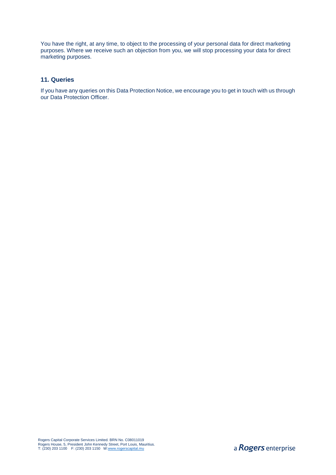You have the right, at any time, to object to the processing of your personal data for direct marketing purposes. Where we receive such an objection from you, we will stop processing your data for direct marketing purposes.

# **11. Queries**

If you have any queries on this Data Protection Notice, we encourage you to get in touch with us through our Data Protection Officer.

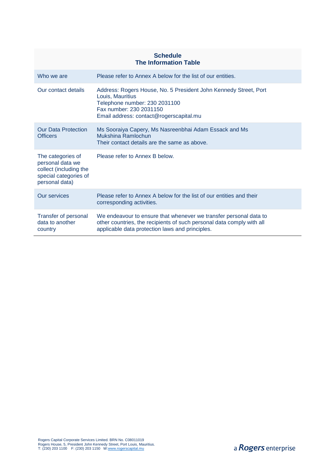| <b>Schedule</b><br><b>The Information Table</b>                                                            |                                                                                                                                                                                               |  |  |
|------------------------------------------------------------------------------------------------------------|-----------------------------------------------------------------------------------------------------------------------------------------------------------------------------------------------|--|--|
| Who we are                                                                                                 | Please refer to Annex A below for the list of our entities.                                                                                                                                   |  |  |
| Our contact details                                                                                        | Address: Rogers House, No. 5 President John Kennedy Street, Port<br>Louis, Mauritius<br>Telephone number: 230 2031100<br>Fax number: 230 2031150<br>Email address: contact@rogerscapital.mu   |  |  |
| <b>Our Data Protection</b><br><b>Officers</b>                                                              | Ms Sooraiya Capery, Ms Nasreenbhai Adam Essack and Ms<br>Mukshina Ramlochun<br>Their contact details are the same as above.                                                                   |  |  |
| The categories of<br>personal data we<br>collect (including the<br>special categories of<br>personal data) | Please refer to Annex B below.                                                                                                                                                                |  |  |
| Our services                                                                                               | Please refer to Annex A below for the list of our entities and their<br>corresponding activities.                                                                                             |  |  |
| Transfer of personal<br>data to another<br>country                                                         | We endeavour to ensure that whenever we transfer personal data to<br>other countries, the recipients of such personal data comply with all<br>applicable data protection laws and principles. |  |  |

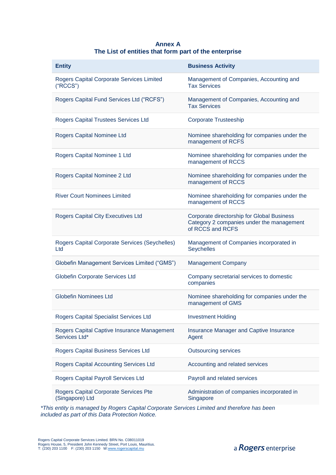# **Annex A The List of entities that form part of the enterprise**

| <b>Entity</b>                                                | <b>Business Activity</b>                                                                                    |
|--------------------------------------------------------------|-------------------------------------------------------------------------------------------------------------|
| Rogers Capital Corporate Services Limited<br>("RCCS")        | Management of Companies, Accounting and<br><b>Tax Services</b>                                              |
| Rogers Capital Fund Services Ltd ("RCFS")                    | Management of Companies, Accounting and<br><b>Tax Services</b>                                              |
| Rogers Capital Trustees Services Ltd                         | <b>Corporate Trusteeship</b>                                                                                |
| Rogers Capital Nominee Ltd                                   | Nominee shareholding for companies under the<br>management of RCFS                                          |
| Rogers Capital Nominee 1 Ltd                                 | Nominee shareholding for companies under the<br>management of RCCS                                          |
| Rogers Capital Nominee 2 Ltd                                 | Nominee shareholding for companies under the<br>management of RCCS                                          |
| <b>River Court Nominees Limited</b>                          | Nominee shareholding for companies under the<br>management of RCCS                                          |
| <b>Rogers Capital City Executives Ltd</b>                    | Corporate directorship for Global Business<br>Category 2 companies under the management<br>of RCCS and RCFS |
| Rogers Capital Corporate Services (Seychelles)<br>Ltd        | Management of Companies incorporated in<br>Seychelles                                                       |
| Globefin Management Services Limited ("GMS")                 | <b>Management Company</b>                                                                                   |
| Globefin Corporate Services Ltd                              | Company secretarial services to domestic<br>companies                                                       |
| <b>Globefin Nominees Ltd</b>                                 | Nominee shareholding for companies under the<br>management of GMS                                           |
| Rogers Capital Specialist Services Ltd                       | <b>Investment Holding</b>                                                                                   |
| Rogers Capital Captive Insurance Management<br>Services Ltd* | Insurance Manager and Captive Insurance<br>Agent                                                            |
| Rogers Capital Business Services Ltd                         | <b>Outsourcing services</b>                                                                                 |
| <b>Rogers Capital Accounting Services Ltd</b>                | Accounting and related services                                                                             |
| Rogers Capital Payroll Services Ltd                          | Payroll and related services                                                                                |
| Rogers Capital Corporate Services Pte<br>(Singapore) Ltd     | Administration of companies incorporated in<br>Singapore                                                    |

*\*This entity is managed by Rogers Capital Corporate Services Limited and therefore has been included as part of this Data Protection Notice.*

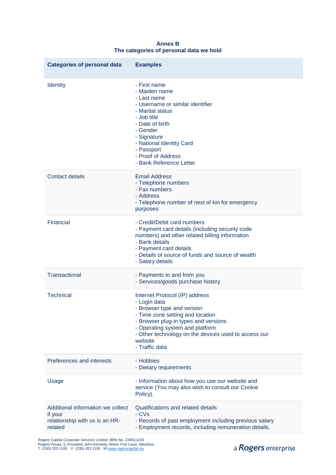| <b>Categories of personal data</b>                                                        | <b>Examples</b>                                                                                                                                                                                                                                                                  |
|-------------------------------------------------------------------------------------------|----------------------------------------------------------------------------------------------------------------------------------------------------------------------------------------------------------------------------------------------------------------------------------|
| <b>Identity</b>                                                                           | - First name<br>- Maiden name<br>- Last name<br>- Username or similar identifier<br>- Marital status<br>- Job title<br>- Date of birth<br>- Gender<br>- Signature<br>- National Identity Card<br>- Passport<br>- Proof of Address<br>- Bank Reference Letter                     |
| <b>Contact details</b>                                                                    | <b>Email Address</b><br>- Telephone numbers<br>- Fax numbers<br>- Address<br>- Telephone number of next of kin for emergency<br>purposes                                                                                                                                         |
| Financial                                                                                 | - Credit/Debit card numbers<br>- Payment card details (including security code<br>numbers) and other related billing information<br>- Bank details<br>- Payment card details<br>- Details of source of funds and source of wealth<br>- Salary details                            |
| Transactional                                                                             | - Payments to and from you<br>- Services/goods purchase history                                                                                                                                                                                                                  |
| <b>Technical</b>                                                                          | Internet Protocol (IP) address<br>- Login data<br>- Browser type and version<br>- Time zone setting and location<br>- Browser plug-in types and versions<br>- Operating system and platform<br>- Other technology on the devices used to access our<br>website<br>- Traffic data |
| Preferences and interests                                                                 | - Hobbies<br>- Dietary requirements                                                                                                                                                                                                                                              |
| Usage                                                                                     | - Information about how you use our website and<br>service (You may also wish to consult our Cookie<br>Policy).                                                                                                                                                                  |
| Additional information we collect<br>if your<br>relationship with us is an HR-<br>related | Qualifications and related details<br>- CVs<br>- Records of past employment including previous salary<br>- Employment records, including remuneration details,                                                                                                                   |

**Annex B The categories of personal data we hold**

Rogers Capital Corporate Services Limited. BRN No. C08011019<br>Rogers House, 5, President John Kennedy Street, Port Louis, Mauritius.<br>T: (230) 203 1100 F: (230) 203 1150 W:<u>www.rogerscapital.mu</u>